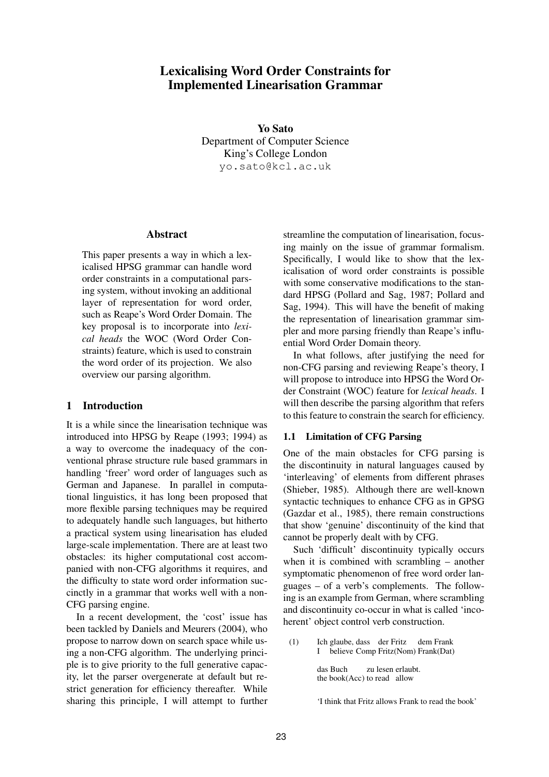# **Lexicalising Word Order Constraints for Implemented Linearisation Grammar**

**Yo Sato**

Department of Computer Science King's College London yo.sato@kcl.ac.uk

### **Abstract**

This paper presents a way in which a lexicalised HPSG grammar can handle word order constraints in a computational parsing system, without invoking an additional layer of representation for word order, such as Reape's Word Order Domain. The key proposal is to incorporate into *lexical heads* the WOC (Word Order Constraints) feature, which is used to constrain the word order of its projection. We also overview our parsing algorithm.

# **1 Introduction**

It is a while since the linearisation technique was introduced into HPSG by Reape (1993; 1994) as a way to overcome the inadequacy of the conventional phrase structure rule based grammars in handling 'freer' word order of languages such as German and Japanese. In parallel in computational linguistics, it has long been proposed that more flexible parsing techniques may be required to adequately handle such languages, but hitherto a practical system using linearisation has eluded large-scale implementation. There are at least two obstacles: its higher computational cost accompanied with non-CFG algorithms it requires, and the difficulty to state word order information succinctly in a grammar that works well with a non-CFG parsing engine.

In a recent development, the 'cost' issue has been tackled by Daniels and Meurers (2004), who propose to narrow down on search space while using a non-CFG algorithm. The underlying principle is to give priority to the full generative capacity, let the parser overgenerate at default but restrict generation for efficiency thereafter. While sharing this principle, I will attempt to further streamline the computation of linearisation, focusing mainly on the issue of grammar formalism. Specifically, I would like to show that the lexicalisation of word order constraints is possible with some conservative modifications to the standard HPSG (Pollard and Sag, 1987; Pollard and Sag, 1994). This will have the benefit of making the representation of linearisation grammar simpler and more parsing friendly than Reape's influential Word Order Domain theory.

In what follows, after justifying the need for non-CFG parsing and reviewing Reape's theory, I will propose to introduce into HPSG the Word Order Constraint (WOC) feature for *lexical heads*. I will then describe the parsing algorithm that refers to this feature to constrain the search for efficiency.

# **1.1 Limitation of CFG Parsing**

One of the main obstacles for CFG parsing is the discontinuity in natural languages caused by 'interleaving' of elements from different phrases (Shieber, 1985). Although there are well-known syntactic techniques to enhance CFG as in GPSG (Gazdar et al., 1985), there remain constructions that show 'genuine' discontinuity of the kind that cannot be properly dealt with by CFG.

Such 'difficult' discontinuity typically occurs when it is combined with scrambling – another symptomatic phenomenon of free word order languages – of a verb's complements. The following is an example from German, where scrambling and discontinuity co-occur in what is called 'incoherent' object control verb construction.

(1) Ich glaube, dass der Fritz dem Frank I believe Comp Fritz(Nom) Frank(Dat)

das Buch zu lesen erlaubt. the book(Acc) to read allow

<sup>&#</sup>x27;I think that Fritz allows Frank to read the book'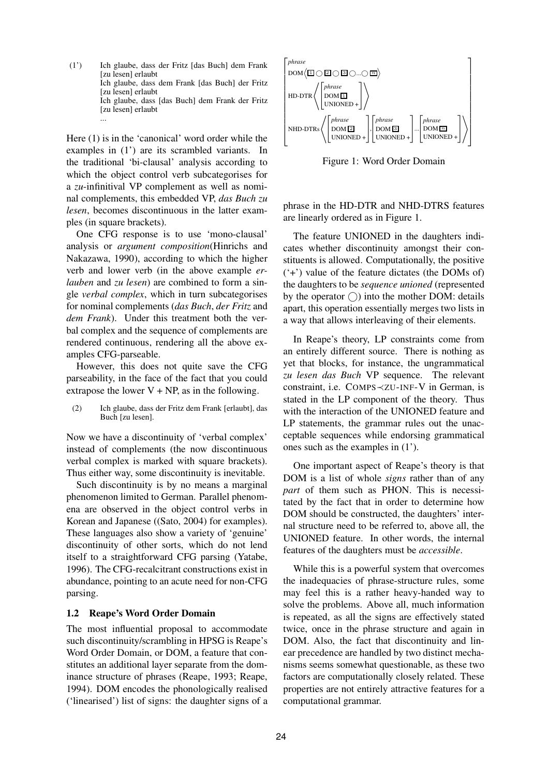(1') Ich glaube, dass der Fritz [das Buch] dem Frank [zu lesen] erlaubt Ich glaube, dass dem Frank [das Buch] der Fritz [zu lesen] erlaubt Ich glaube, dass [das Buch] dem Frank der Fritz [zu lesen] erlaubt ...

Here (1) is in the 'canonical' word order while the examples in (1') are its scrambled variants. In the traditional 'bi-clausal' analysis according to which the object control verb subcategorises for a *zu*-infinitival VP complement as well as nominal complements, this embedded VP, *das Buch zu lesen*, becomes discontinuous in the latter examples (in square brackets).

One CFG response is to use 'mono-clausal' analysis or *argument composition*(Hinrichs and Nakazawa, 1990), according to which the higher verb and lower verb (in the above example *erlauben* and *zu lesen*) are combined to form a single *verbal complex*, which in turn subcategorises for nominal complements (*das Buch*, *der Fritz* and *dem Frank*). Under this treatment both the verbal complex and the sequence of complements are rendered continuous, rendering all the above examples CFG-parseable.

However, this does not quite save the CFG parseability, in the face of the fact that you could extrapose the lower  $V + NP$ , as in the following.

(2) Ich glaube, dass der Fritz dem Frank [erlaubt], das Buch [zu lesen].

Now we have a discontinuity of 'verbal complex' instead of complements (the now discontinuous verbal complex is marked with square brackets). Thus either way, some discontinuity is inevitable.

Such discontinuity is by no means a marginal phenomenon limited to German. Parallel phenomena are observed in the object control verbs in Korean and Japanese ((Sato, 2004) for examples). These languages also show a variety of 'genuine' discontinuity of other sorts, which do not lend itself to a straightforward CFG parsing (Yatabe, 1996). The CFG-recalcitrant constructions exist in abundance, pointing to an acute need for non-CFG parsing.

### **1.2 Reape's Word Order Domain**

The most influential proposal to accommodate such discontinuity/scrambling in HPSG is Reape's Word Order Domain, or DOM, a feature that constitutes an additional layer separate from the dominance structure of phrases (Reape, 1993; Reape, 1994). DOM encodes the phonologically realised ('linearised') list of signs: the daughter signs of a



Figure 1: Word Order Domain

phrase in the HD-DTR and NHD-DTRS features are linearly ordered as in Figure 1.

The feature UNIONED in the daughters indicates whether discontinuity amongst their constituents is allowed. Computationally, the positive ('+') value of the feature dictates (the DOMs of) the daughters to be *sequence unioned* (represented by the operator  $\bigcap$  into the mother DOM: details apart, this operation essentially merges two lists in a way that allows interleaving of their elements.

In Reape's theory, LP constraints come from an entirely different source. There is nothing as yet that blocks, for instance, the ungrammatical *zu lesen das Buch* VP sequence. The relevant constraint, i.e. COMPS≺ZU-INF-V in German, is stated in the LP component of the theory. Thus with the interaction of the UNIONED feature and LP statements, the grammar rules out the unacceptable sequences while endorsing grammatical ones such as the examples in (1').

One important aspect of Reape's theory is that DOM is a list of whole *signs* rather than of any *part* of them such as PHON. This is necessitated by the fact that in order to determine how DOM should be constructed, the daughters' internal structure need to be referred to, above all, the UNIONED feature. In other words, the internal features of the daughters must be *accessible*.

While this is a powerful system that overcomes the inadequacies of phrase-structure rules, some may feel this is a rather heavy-handed way to solve the problems. Above all, much information is repeated, as all the signs are effectively stated twice, once in the phrase structure and again in DOM. Also, the fact that discontinuity and linear precedence are handled by two distinct mechanisms seems somewhat questionable, as these two factors are computationally closely related. These properties are not entirely attractive features for a computational grammar.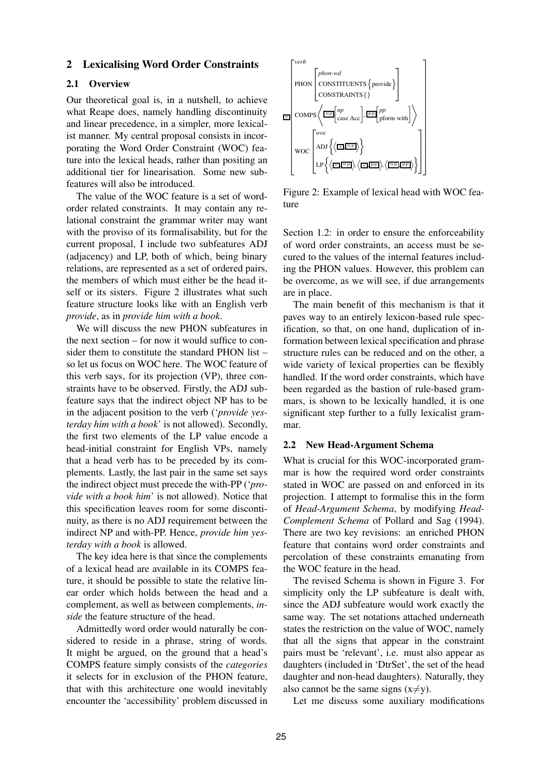# **2 Lexicalising Word Order Constraints**

#### **2.1 Overview**

Our theoretical goal is, in a nutshell, to achieve what Reape does, namely handling discontinuity and linear precedence, in a simpler, more lexicalist manner. My central proposal consists in incorporating the Word Order Constraint (WOC) feature into the lexical heads, rather than positing an additional tier for linearisation. Some new subfeatures will also be introduced.

The value of the WOC feature is a set of wordorder related constraints. It may contain any relational constraint the grammar writer may want with the proviso of its formalisability, but for the current proposal, I include two subfeatures ADJ (adjacency) and LP, both of which, being binary relations, are represented as a set of ordered pairs, the members of which must either be the head itself or its sisters. Figure 2 illustrates what such feature structure looks like with an English verb *provide*, as in *provide him with a book*.

We will discuss the new PHON subfeatures in the next section – for now it would suffice to consider them to constitute the standard PHON list – so let us focus on WOC here. The WOC feature of this verb says, for its projection (VP), three constraints have to be observed. Firstly, the ADJ subfeature says that the indirect object NP has to be in the adjacent position to the verb ('*provide yesterday him with a book*' is not allowed). Secondly, the first two elements of the LP value encode a head-initial constraint for English VPs, namely that a head verb has to be preceded by its complements. Lastly, the last pair in the same set says the indirect object must precede the with-PP ('*provide with a book him*' is not allowed). Notice that this specification leaves room for some discontinuity, as there is no ADJ requirement between the indirect NP and with-PP. Hence, *provide him yesterday with a book* is allowed.

The key idea here is that since the complements of a lexical head are available in its COMPS feature, it should be possible to state the relative linear order which holds between the head and a complement, as well as between complements, *inside* the feature structure of the head.

Admittedly word order would naturally be considered to reside in a phrase, string of words. It might be argued, on the ground that a head's COMPS feature simply consists of the *categories* it selects for in exclusion of the PHON feature, that with this architecture one would inevitably encounter the 'accessibility' problem discussed in



Figure 2: Example of lexical head with WOC feature

Section 1.2: in order to ensure the enforceability of word order constraints, an access must be secured to the values of the internal features including the PHON values. However, this problem can be overcome, as we will see, if due arrangements are in place.

The main benefit of this mechanism is that it paves way to an entirely lexicon-based rule specification, so that, on one hand, duplication of information between lexical specification and phrase structure rules can be reduced and on the other, a wide variety of lexical properties can be flexibly handled. If the word order constraints, which have been regarded as the bastion of rule-based grammars, is shown to be lexically handled, it is one significant step further to a fully lexicalist grammar.

#### **2.2 New Head-Argument Schema**

What is crucial for this WOC-incorporated grammar is how the required word order constraints stated in WOC are passed on and enforced in its projection. I attempt to formalise this in the form of *Head-Argument Schema*, by modifying *Head-Complement Schema* of Pollard and Sag (1994). There are two key revisions: an enriched PHON feature that contains word order constraints and percolation of these constraints emanating from the WOC feature in the head.

The revised Schema is shown in Figure 3. For simplicity only the LP subfeature is dealt with, since the ADJ subfeature would work exactly the same way. The set notations attached underneath states the restriction on the value of WOC, namely that all the signs that appear in the constraint pairs must be 'relevant', i.e. must also appear as daughters (included in 'DtrSet', the set of the head daughter and non-head daughters). Naturally, they also cannot be the same signs  $(x \neq y)$ .

Let me discuss some auxiliary modifications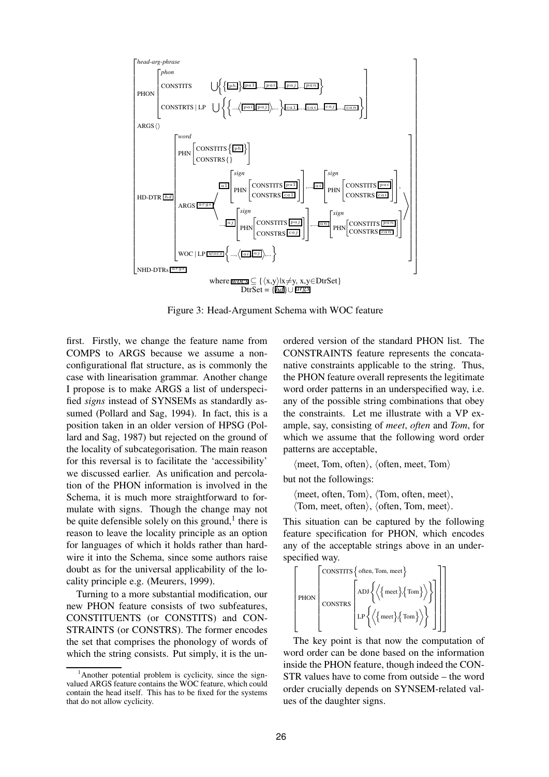

Figure 3: Head-Argument Schema with WOC feature

first. Firstly, we change the feature name from COMPS to ARGS because we assume a nonconfigurational flat structure, as is commonly the case with linearisation grammar. Another change I propose is to make ARGS a list of underspecified *signs* instead of SYNSEMs as standardly assumed (Pollard and Sag, 1994). In fact, this is a position taken in an older version of HPSG (Pollard and Sag, 1987) but rejected on the ground of the locality of subcategorisation. The main reason for this reversal is to facilitate the 'accessibility' we discussed earlier. As unification and percolation of the PHON information is involved in the Schema, it is much more straightforward to formulate with signs. Though the change may not be quite defensible solely on this ground,<sup>1</sup> there is reason to leave the locality principle as an option for languages of which it holds rather than hardwire it into the Schema, since some authors raise doubt as for the universal applicability of the locality principle e.g. (Meurers, 1999).

Turning to a more substantial modification, our new PHON feature consists of two subfeatures, CONSTITUENTS (or CONSTITS) and CON-STRAINTS (or CONSTRS). The former encodes the set that comprises the phonology of words of which the string consists. Put simply, it is the un-

ordered version of the standard PHON list. The CONSTRAINTS feature represents the concatanative constraints applicable to the string. Thus, the PHON feature overall represents the legitimate word order patterns in an underspecified way, i.e. any of the possible string combinations that obey the constraints. Let me illustrate with a VP example, say, consisting of *meet*, *often* and *Tom*, for which we assume that the following word order patterns are acceptable,

 $\langle$  meet, Tom, often $\rangle$ ,  $\langle$  often, meet, Tom $\rangle$ 

but not the followings:

 $\langle$  meet, often, Tom $\rangle$ ,  $\langle$ Tom, often, meet $\rangle$ ,

 $\langle$ Tom, meet, often $\rangle$ ,  $\langle$  often, Tom, meet $\rangle$ .

This situation can be captured by the following feature specification for PHON, which encodes any of the acceptable strings above in an underspecified way.

$$
\left[\text{PDN}\left[\begin{matrix} \text{CONTITS}\left\{ \text{often, Tom, meet}\right\} \\ \text{CDNSTRS}\left[\begin{matrix} \text{ADJ}\left\{\left\{\left\{ \text{meet}\right\}\left\{ \text{Tom}\right\} \right\} \right\} \\ \text{LDI}\left\{\left\{\left\{ \text{meet}\right\}\left\{ \text{Tom}\right\} \right\} \right\} \end{matrix}\right]\right]\right]
$$

The key point is that now the computation of word order can be done based on the information inside the PHON feature, though indeed the CON-STR values have to come from outside – the word order crucially depends on SYNSEM-related values of the daughter signs.

 $<sup>1</sup>$ Another potential problem is cyclicity, since the sign-</sup> valued ARGS feature contains the WOC feature, which could contain the head itself. This has to be fixed for the systems that do not allow cyclicity.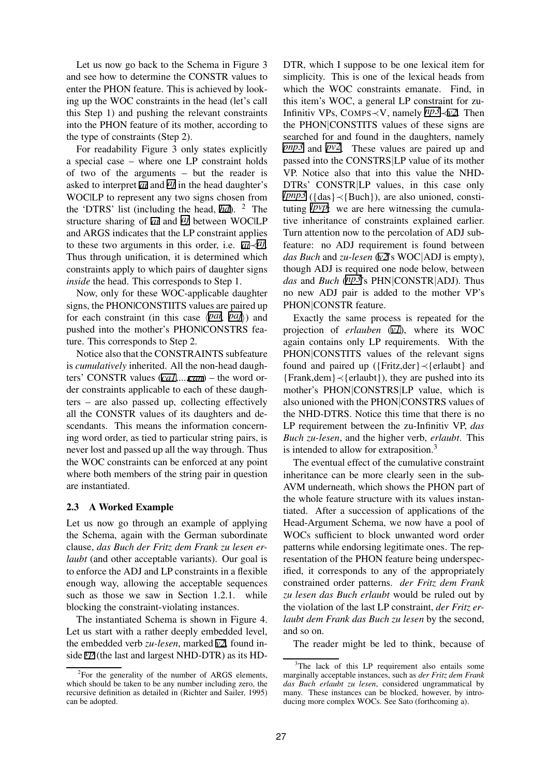Let us now go back to the Schema in Figure 3 and see how to determine the CONSTR values to enter the PHON feature. This is achieved by looking up the WOC constraints in the head (let's call this Step 1) and pushing the relevant constraints into the PHON feature of its mother, according to the type of constraints (Step 2).

For readability Figure 3 only states explicitly a special case – where one LP constraint holds of two of the arguments – but the reader is asked to interpret  $\overline{a}$  and  $\overline{a}$  in the head daughter's WOC|LP to represent any two signs chosen from the 'DTRS' list (including the head, *hd*). <sup>2</sup> The structure sharing of *ai* and *aj* between WOC|LP and ARGS indicates that the LP constraint applies to these two arguments in this order, i.e. *ai*≺*aj*. Thus through unification, it is determined which constraints apply to which pairs of daughter signs *inside* the head. This corresponds to Step 1.

Now, only for these WOC-applicable daughter signs, the PHON|CONSTIITS values are paired up for each constraint (in this case  $\langle \overline{pad}, \overline{pay} \rangle$ ) and pushed into the mother's PHON|CONSTRS feature. This corresponds to Step 2.

Notice also that the CONSTRAINTS subfeature is *cumulatively* inherited. All the non-head daughters' CONSTR values (*ca1*,...,*can*) – the word order constraints applicable to each of these daughters – are also passed up, collecting effectively all the CONSTR values of its daughters and descendants. This means the information concerning word order, as tied to particular string pairs, is never lost and passed up all the way through. Thus the WOC constraints can be enforced at any point where both members of the string pair in question are instantiated.

### **2.3 A Worked Example**

Let us now go through an example of applying the Schema, again with the German subordinate clause, *das Buch der Fritz dem Frank zu lesen erlaubt* (and other acceptable variants). Our goal is to enforce the ADJ and LP constraints in a flexible enough way, allowing the acceptable sequences such as those we saw in Section 1.2.1. while blocking the constraint-violating instances.

The instantiated Schema is shown in Figure 4. Let us start with a rather deeply embedded level, the embedded verb *zu-lesen*, marked *v2*, found inside *vp* (the last and largest NHD-DTR) as its HD-

DTR, which I suppose to be one lexical item for simplicity. This is one of the lexical heads from which the WOC constraints emanate. Find, in this item's WOC, a general LP constraint for zu-Infinitiv VPs, COMPS≺V, namely *np3*≺*v2*. Then the PHON|CONSTITS values of these signs are searched for and found in the daughters, namely *pnp3* and *pv2*. These values are paired up and passed into the CONSTRS|LP value of its mother VP. Notice also that into this value the NHD-DTRs' CONSTR|LP values, in this case only *lpnp3* ({das}≺{Buch}), are also unioned, constituting *lpvp*: we are here witnessing the cumulative inheritance of constraints explained earlier. Turn attention now to the percolation of ADJ subfeature: no ADJ requirement is found between *das Buch* and *zu-lesen* (*v2*'s WOC|ADJ is empty), though ADJ is required one node below, between *das* and *Buch* (*np3*'s PHN|CONSTR|ADJ). Thus no new ADJ pair is added to the mother VP's PHON|CONSTR feature.

Exactly the same process is repeated for the projection of *erlauben* (*v1*), where its WOC again contains only LP requirements. With the PHON|CONSTITS values of the relevant signs found and paired up ({Fritz,der}≺{erlaubt} and {Frank,dem}≺{erlaubt}), they are pushed into its mother's PHON|CONSTRS|LP value, which is also unioned with the PHON|CONSTRS values of the NHD-DTRS. Notice this time that there is no LP requirement between the zu-Infinitiv VP, *das Buch zu-lesen*, and the higher verb, *erlaubt*. This is intended to allow for extraposition.<sup>3</sup>

The eventual effect of the cumulative constraint inheritance can be more clearly seen in the sub-AVM underneath, which shows the PHON part of the whole feature structure with its values instantiated. After a succession of applications of the Head-Argument Schema, we now have a pool of WOCs sufficient to block unwanted word order patterns while endorsing legitimate ones. The representation of the PHON feature being underspecified, it corresponds to any of the appropriately constrained order patterns. *der Fritz dem Frank zu lesen das Buch erlaubt* would be ruled out by the violation of the last LP constraint, *der Fritz erlaubt dem Frank das Buch zu lesen* by the second, and so on.

The reader might be led to think, because of

 ${}^{2}$ For the generality of the number of ARGS elements, which should be taken to be any number including zero, the recursive definition as detailed in (Richter and Sailer, 1995) can be adopted.

<sup>&</sup>lt;sup>3</sup>The lack of this LP requirement also entails some marginally acceptable instances, such as *der Fritz dem Frank das Buch erlaubt zu lesen*, considered ungrammatical by many. These instances can be blocked, however, by introducing more complex WOCs. See Sato (forthcoming a).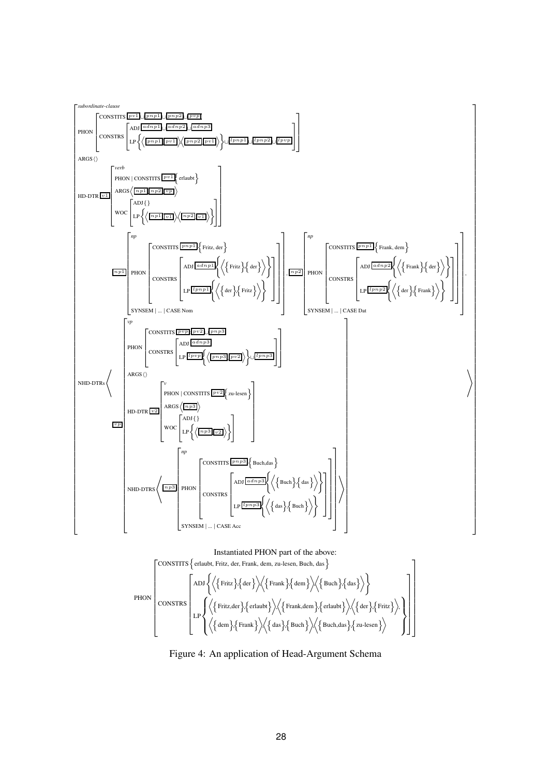

Figure 4: An application of Head-Argument Schema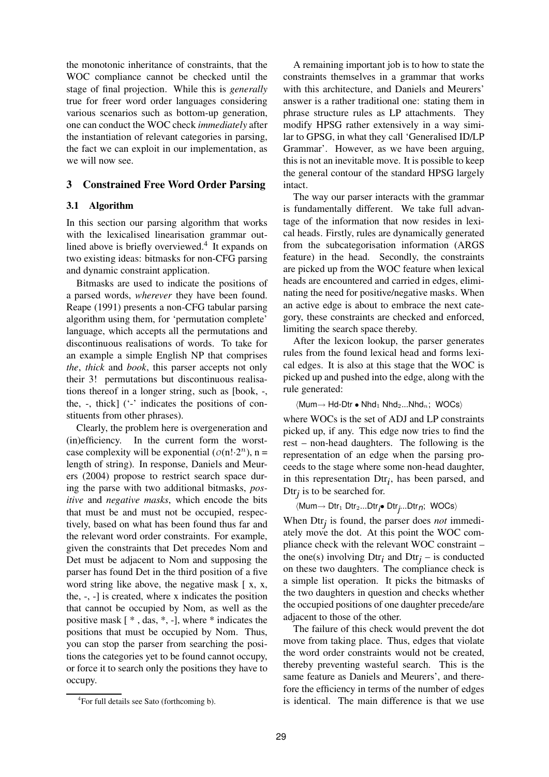the monotonic inheritance of constraints, that the WOC compliance cannot be checked until the stage of final projection. While this is *generally* true for freer word order languages considering various scenarios such as bottom-up generation, one can conduct the WOC check *immediately* after the instantiation of relevant categories in parsing, the fact we can exploit in our implementation, as we will now see.

# **3 Constrained Free Word Order Parsing**

## **3.1 Algorithm**

In this section our parsing algorithm that works with the lexicalised linearisation grammar outlined above is briefly overviewed.<sup>4</sup> It expands on two existing ideas: bitmasks for non-CFG parsing and dynamic constraint application.

Bitmasks are used to indicate the positions of a parsed words, *wherever* they have been found. Reape (1991) presents a non-CFG tabular parsing algorithm using them, for 'permutation complete' language, which accepts all the permutations and discontinuous realisations of words. To take for an example a simple English NP that comprises *the*, *thick* and *book*, this parser accepts not only their 3! permutations but discontinuous realisations thereof in a longer string, such as [book, -, the,  $-$ , thick]  $($ '- $\cdot$  indicates the positions of constituents from other phrases).

Clearly, the problem here is overgeneration and (in)efficiency. In the current form the worstcase complexity will be exponential  $(o(n! \cdot 2^n), n =$ length of string). In response, Daniels and Meurers (2004) propose to restrict search space during the parse with two additional bitmasks, *positive* and *negative masks*, which encode the bits that must be and must not be occupied, respectively, based on what has been found thus far and the relevant word order constraints. For example, given the constraints that Det precedes Nom and Det must be adjacent to Nom and supposing the parser has found Det in the third position of a five word string like above, the negative mask [ x, x, the, -, -] is created, where x indicates the position that cannot be occupied by Nom, as well as the positive mask [ \* , das, \*, -], where \* indicates the positions that must be occupied by Nom. Thus, you can stop the parser from searching the positions the categories yet to be found cannot occupy, or force it to search only the positions they have to occupy.

A remaining important job is to how to state the constraints themselves in a grammar that works with this architecture, and Daniels and Meurers' answer is a rather traditional one: stating them in phrase structure rules as LP attachments. They modify HPSG rather extensively in a way similar to GPSG, in what they call 'Generalised ID/LP Grammar'. However, as we have been arguing, this is not an inevitable move. It is possible to keep the general contour of the standard HPSG largely intact.

The way our parser interacts with the grammar is fundamentally different. We take full advantage of the information that now resides in lexical heads. Firstly, rules are dynamically generated from the subcategorisation information (ARGS feature) in the head. Secondly, the constraints are picked up from the WOC feature when lexical heads are encountered and carried in edges, eliminating the need for positive/negative masks. When an active edge is about to embrace the next category, these constraints are checked and enforced, limiting the search space thereby.

After the lexicon lookup, the parser generates rules from the found lexical head and forms lexical edges. It is also at this stage that the WOC is picked up and pushed into the edge, along with the rule generated:

 $\langle$ Mum $\rightarrow$  Hd-Dtr • Nhd<sub>1</sub> Nhd<sub>2</sub>...Nhd<sub>n</sub>; WOCs $\rangle$ 

where WOCs is the set of ADJ and LP constraints picked up, if any. This edge now tries to find the rest – non-head daughters. The following is the representation of an edge when the parsing proceeds to the stage where some non-head daughter, in this representation  $\text{Dtr}_i$ , has been parsed, and Dtr<sub>*j*</sub> is to be searched for.

 $\langle$ Mum→ Dtr<sub>1</sub> Dtr<sub>2</sub>...Dtr<sub>i</sub>• Dtr<sub>j</sub>...Dtr<sub>n</sub>; WOCs $\rangle$ 

When Dtr*j* is found, the parser does *not* immediately move the dot. At this point the WOC compliance check with the relevant WOC constraint – the one(s) involving  $\text{Dtr}_i$  and  $\text{Dtr}_j$  – is conducted on these two daughters. The compliance check is a simple list operation. It picks the bitmasks of the two daughters in question and checks whether the occupied positions of one daughter precede/are adjacent to those of the other.

The failure of this check would prevent the dot move from taking place. Thus, edges that violate the word order constraints would not be created, thereby preventing wasteful search. This is the same feature as Daniels and Meurers', and therefore the efficiency in terms of the number of edges is identical. The main difference is that we use

<sup>4</sup> For full details see Sato (forthcoming b).